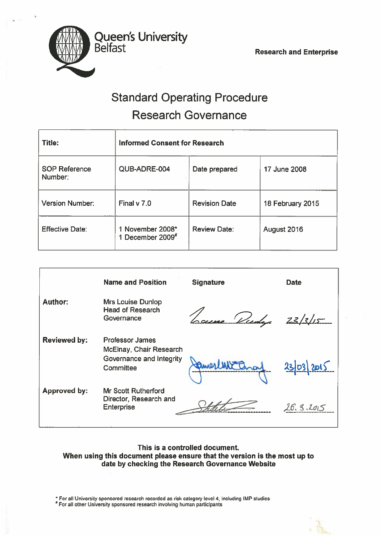

# Standard Operating Procedure Research Governance

| Title:                          | <b>Informed Consent for Research</b> |                      |                  |  |
|---------------------------------|--------------------------------------|----------------------|------------------|--|
| <b>SOP Reference</b><br>Number: | QUB-ADRE-004                         | Date prepared        | 17 June 2008     |  |
| <b>Version Number:</b>          | Final $v$ 7.0                        | <b>Revision Date</b> | 18 February 2015 |  |
| <b>Effective Date:</b>          | 1 November 2008*<br>1 December 2009# | <b>Review Date:</b>  | August 2016      |  |

|                     | <b>Name and Position</b>                                                                   | <b>Signature</b> | <b>Date</b> |
|---------------------|--------------------------------------------------------------------------------------------|------------------|-------------|
| <b>Author:</b>      | <b>Mrs Louise Dunlop</b><br><b>Head of Research</b><br>Governance                          | use Viedy        | 23/3/15     |
| <b>Reviewed by:</b> | <b>Professor James</b><br>McElnay, Chair Research<br>Governance and Integrity<br>Committee |                  | 2303        |
| <b>Approved by:</b> | <b>Mr Scott Rutherford</b><br>Director, Research and<br><b>Enterprise</b>                  |                  | 26.5.2015   |

### This is <sup>a</sup> controlled document When using this document please ensure that the version is the most up to date by checking the Research Governance Website

 $\hat{}$  For all University sponsored research recorded as risk category level 4, including IMP studies

For all other University sponsored research involving human participants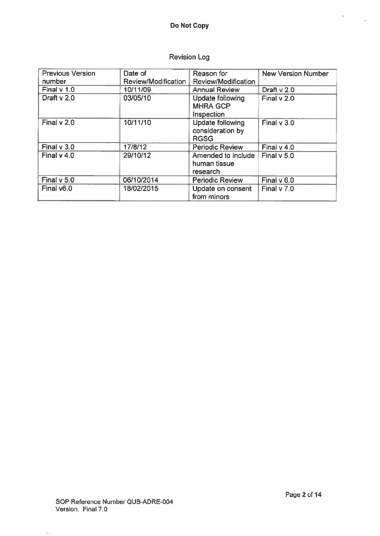# Revision Log

| <b>Previous Version</b><br>number | Date of<br>Review/Modification | Reason for<br>Review/Modification                          | <b>New Version Number</b> |
|-----------------------------------|--------------------------------|------------------------------------------------------------|---------------------------|
| Final $v$ 1.0                     | 10/11/09                       | <b>Annual Review</b>                                       | Draft v 2.0               |
| Draft v 2.0                       | 03/05/10                       | <b>Update following</b><br><b>MHRA GCP</b><br>Inspection   | Final v 2.0               |
| Final $v$ 2.0                     | 10/11/10                       | <b>Update following</b><br>consideration by<br><b>RGSG</b> | Final v 3.0               |
| Final $v$ 3.0                     | 17/8/12                        | <b>Periodic Review</b>                                     | Final $v$ 4.0             |
| Final v 4.0                       | 29/10/12                       | Amended to include<br>human tissue<br>research             | Final $v$ 5.0             |
| Final v 5.0                       | 06/10/2014                     | <b>Periodic Review</b>                                     | Final v 6.0               |
| Final v6.0                        | 18/02/2015                     | Update on consent<br>from minors                           | Final v 7.0               |

 $\mathbb{K}_{\mathcal{F}}$  )

×

ÿ.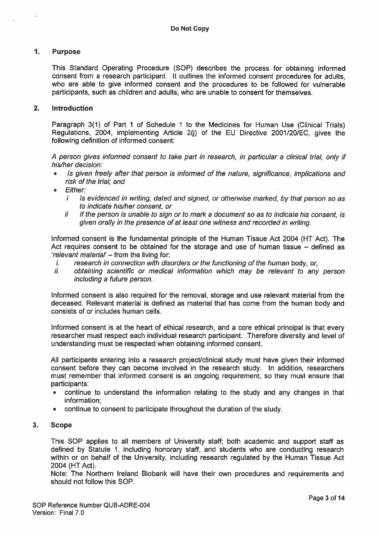#### $\mathbf{1}$ . Purpose

This Standard Operating Procedure (SOP) describes the process for obtaining informed consent from <sup>a</sup> research participant. It outlines the informed consent procedures for adults, who are able to give informed consent and the procedures to be followed for vulnerable participants, such as children and adults, who are unable to consent for themselves.

#### 2. Introduction

Paragraph 3(1) of Part 1 of Schedule 1 to the Medicines for Human Use (Clinical Trials) Regulations, 2004, implementing Article 2(j) of the EU Directive 20011201EC, <sup>g</sup>ives the following definition of informed consent:

<sup>A</sup> person <sup>g</sup>ives informed consent to take par<sup>t</sup> in research, in particular <sup>a</sup> clinical trial, only if his/her decision:

- Is given freely after that person is informed of the nature, significance, implications and risk of the trial; and
- •**Either:** 
	- $i$  Is evidenced in writing, dated and signed, or otherwise marked, by that person so as to indicate his/her consent, or
	- $ii$  If the person is unable to sign or to mark a document so as to indicate his consent, is given orally in the presence of at least one witness and recorded in writing.

Informed consent is the fundamental principle of the Human Tissue Act 2004 (HT Act). The Act requires consent to be obtained for the storage and use of human tissue — defined as 'relevant material' – from the living for:

- $t_{\rm r}$  research in connection with disorders or the functioning of the human body, or,
- ii. obtaining scientific or medical information which may be relevant to any person including <sup>a</sup> future person.

Informed consent is also required for the removal, storage and use relevant material from the deceased. Relevant material is defined as material that has come from the human body and consists of or includes human cells.

Informed consent is at the heart of ethical research, and <sup>a</sup> core ethical principal is that every researcher must respec<sup>t</sup> each individual research participant. Therefore diversity and level of understanding must be respected when obtaining informed consent.

All participants entering into <sup>a</sup> research project/clinical study must have given their informed consent before they can become involved in the research study. In addition, researchers must remember that informed consent is an ongoing requirement, so they must ensure that participants:

- • continue to understand the information relating to the study and any changes in that information;
- •continue to consent to participate throughout the duration of the study.

#### 3. Scope

This SOP applies to all members of University staff; both academic and suppor<sup>t</sup> staff as defined by Statute 1, including honorary staff, and students who are conducting research within or on behalf of the University, including research regulated by the Human Tissue Act 2004 (HT Act).

Note: The Northern Ireland Biobank will have their own procedures and requirements and should not follow this SOP.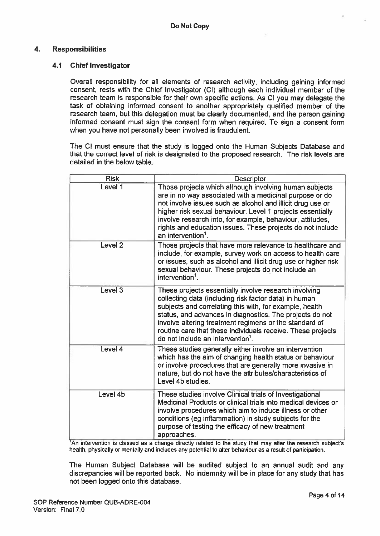#### 4. Responsibilities

#### 4.1 Chief Investigator

Overall responsibility for all elements of research activity, including gaining informed consent, rests with the Chief Investigator (Cl) although each individual member of the research team is responsible for their own specific actions. As CI you may delegate the task of obtaining informed consent to another appropriately qualified member of the research team, but this delegation must be clearly documented, and the person gaining informed consent must sign the consent form when required. To sign <sup>a</sup> consent form when you have not personally been involved is fraudulent.

The Cl must ensure that the study is logged onto the Human Subjects Database and that the correct level of risk is designated to the proposed research. The risk levels are detailed in the below table.

| <b>Risk</b>        | <b>Descriptor</b>                                                                                                                                                                                                                                                                                                                                                                                               |
|--------------------|-----------------------------------------------------------------------------------------------------------------------------------------------------------------------------------------------------------------------------------------------------------------------------------------------------------------------------------------------------------------------------------------------------------------|
| Level 1            | Those projects which although involving human subjects<br>are in no way associated with a medicinal purpose or do<br>not involve issues such as alcohol and illicit drug use or<br>higher risk sexual behaviour. Level 1 projects essentially<br>involve research into, for example, behaviour, attitudes,<br>rights and education issues. These projects do not include<br>an intervention $1$ .               |
| Level <sub>2</sub> | Those projects that have more relevance to healthcare and<br>include, for example, survey work on access to health care<br>or issues, such as alcohol and illicit drug use or higher risk<br>sexual behaviour. These projects do not include an<br>intervention $1$ .                                                                                                                                           |
| Level <sub>3</sub> | These projects essentially involve research involving<br>collecting data (including risk factor data) in human<br>subjects and correlating this with, for example, health<br>status, and advances in diagnostics. The projects do not<br>involve altering treatment regimens or the standard of<br>routine care that these individuals receive. These projects<br>do not include an intervention <sup>1</sup> . |
| Level 4            | These studies generally either involve an intervention<br>which has the aim of changing health status or behaviour<br>or involve procedures that are generally more invasive in<br>nature, but do not have the attributes/characteristics of<br>Level 4b studies.                                                                                                                                               |
| Level 4b           | These studies involve Clinical trials of Investigational<br>Medicinal Products or clinical trials into medical devices or<br>involve procedures which aim to induce illness or other<br>conditions (eg inflammation) in study subjects for the<br>purpose of testing the efficacy of new treatment<br>approaches.<br>القصيلة وبالمريقين بمنطق بمقاله استقصائهم وبالقصيصائين بمر                                 |

An intervention is classed as <sup>a</sup> change directly related to the study that may alter the research subject's health, physically or mentally and includes any potential to alter behaviour as <sup>a</sup> result of participation.

The Human Subject Database will be audited subject to an annual audit and any discrepancies will be reported back. No indemnity will be in place for any study that has not been logged onto this database.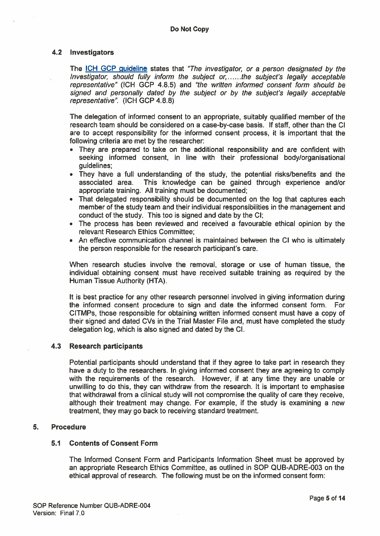#### 4.2 Investigators

The ICH GCP guideline states that "The investigator, or <sup>a</sup> person designated by the Investigator, should fully inform the subject or, ......the subject's legally acceptable representative" (ICH GCP 4.8.5) and "the written informed consent form should be signed and personally dated by the subject or by the subject's legally acceptable representative". (ICH GCP 4.8.8)

The delegation of informed consent to an appropriate, suitably qualified member of the research team should be considered on <sup>a</sup> case-by-case basis. If staff, other than the Cl are to accep<sup>t</sup> responsibility for the informed consent process, it is important that the following criteria are met by the researcher:

- They are prepared to take on the additional responsibility and are confident with seeking informed consent, in line with their professional body/organisational guidelines;
- They have <sup>a</sup> full understanding of the study, the potential risks/benefits and the associated area. This knowledge can be gained through experience and/or appropriate training. All training must be documented;
- That delegated responsibility should be documented on the log that captures each member of the study team and their individual responsibilities in the managemen<sup>t</sup> and conduct of the study. This too is signed and date by the Cl;
- The process has been reviewed and received <sup>a</sup> favourable ethical opinion by the relevant Research Ethics Committee;
- An effective communication channel is maintained between the Cl who is ultimately the person responsible for the research participant's care.

When research studies involve the removal, storage or use of human tissue, the individual obtaining consent must have received suitable training as required by the Human Tissue Authority (HTA).

It is best practice for any other research personnel involved in giving information during the informed consent procedure to sign and date the informed consent form. For CITMPs, those responsible for obtaining written informed consent must have <sup>a</sup> copy of their signed and dated CVs in the Trial Master File and, must have completed the study delegation log, which is also signed and dated by the Cl.

#### 4.3 Research participants

Potential participants should understand that if they agree to take par<sup>t</sup> in research they have <sup>a</sup> duty to the researchers. In giving informed consent they are agreeing to comply with the requirements of the research. However, if at any time they are unable or unwilling to do this, they can withdraw from the research. It is important to emphasise that withdrawal from <sup>a</sup> clinical study will not compromise the quality of care they receive, although their treatment may change. For example, if the study is examining <sup>a</sup> new treatment, they may go back to receiving standard treatment.

#### 5. Procedure

#### 5.1 Contents of Consent Form

The Informed Consent Form and Participants Information Sheet must be approved by an appropriate Research Ethics Committee, as outlined in SOP QUB-ADRE-003 on the ethical approval of research. The following must be on the informed consent form: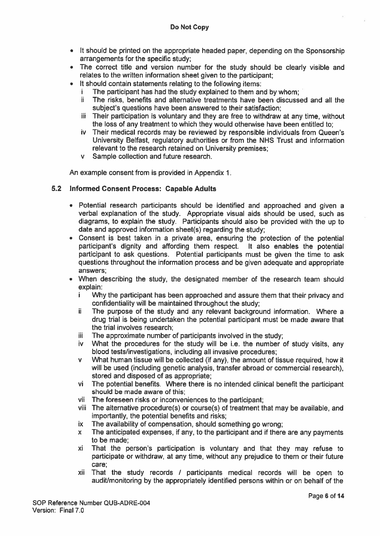- It should be printed on the appropriate headed paper, depending on the Sponsorship arrangements for the specific study;
- The correct title and version number for the study should be clearly visible and relates to the written information sheet given to the participant;
- • It should contain statements relating to the following items:
	- The participant has had the study explained to them and by whom;
	- ii The risks, benefits and alternative treatments have been discussed and all the subject's questions have been answered to their satisfaction;
	- $iii$  Their participation is voluntary and they are free to withdraw at any time, without the loss of any treatment to which they would otherwise have been entitled to;
	- iv Their medical records may be reviewed by responsible individuals from Queen's University Belfast, regulatory authorities or from the NHS Trust and information relevant to the research retained on University premises;
	- <sup>v</sup> Sample collection and future research.

An example consent from is provided in Appendix 1.

#### 5.2 Informed Consent Process: Capable Adults

- Potential research participants should be identified and approached and <sup>g</sup>iven <sup>a</sup> verbal explanation of the study. Appropriate visual aids should be used, such as diagrams, to explain the study. Participants should also be provided with the up to date and approved information sheet(s) regarding the study;
- Consent is best taken in <sup>a</sup> private area, ensuring the protection of the potential participant's dignity and affording them respect. It also enables the potential participant to ask questions. Potential participants must be given the time to ask questions throughout the information process and be given adequate and appropriate answers;
- • When describing the study, the designated member of the research team should explain:
	- i Why the participant has been approached and assure them that their privacy and confidentiality will be maintained throughout the study;
	- ii The purpose of the study and any relevant background information. Where a drug trial is being undertaken the potential participant must be made aware that the trial involves research;
	- iii The approximate number of participants involved in the study;
	- iv What the procedures for the study will be i.e. the number of study visits, any blood tests/investigations, including all invasive procedures;
	- <sup>v</sup> What human tissue will be collected (if any), the amount of tissue required, how it will be used (including genetic analysis, transfer abroad or commercial research), stored and disposed of as appropriate;
	- vi The potential benefits. Where there is no intended clinical benefit the participant should be made aware of this;
	- vii The foreseen risks or inconveniences to the participant:
	- vili The alternative procedure(s) or course(s) of treatment that may be available, and importantly, the potential benefits and risks;
	- ix The availability of compensation, should something go wrong;
	- <sup>x</sup> The anticipated expenses, if any, to the participant and if there are any payments to be made;
	- xi That the person's participation is voluntary and that they may refuse to participate or withdraw, at any time, without any prejudice to them or their future care;
	- xii That the study records / participants medical records will be open to audit/monitoring by the appropriately identified persons within or on behalf of the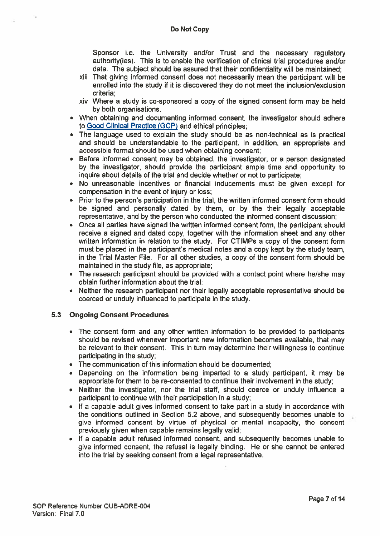Sponsor i.e. the University and/or Trust and the necessary regulatory authority(ies). This is to enable the verification of clinical trial procedures and/or data. The subject should be assured that their confidentiality will be maintained;

- xiii That giving informed consent does not necessarily mean the participant will be enrolled into the study if it is discovered they do not meet the inclusion/exclusion criteria;
- xiv Where <sup>a</sup> study is co-sponsored <sup>a</sup> copy of the signed consent form may be held by both organisations.
- When obtaining and documenting informed consent, the investigator should adhere to Good Clinical Practice (GCP) and ethical principles;
- The language used to explain the study should be as non-technical as is practical and should be understandable to the participant. In addition, an appropriate and accessible format should be used when obtaining consent;
- Before informed consent may be obtained, the investigator, or <sup>a</sup> person designated by the investigator, should provide the participant ample time and opportunity to inquire about details of the trial and decide whether or not to participate;
- No unreasonable incentives or financial inducements must be given excep<sup>t</sup> for compensation in the event of injury or loss;
- Prior to the person's participation in the trial, the written informed consent form should be signed and personally dated by them, or by the their legally acceptable representative, and by the person who conducted the informed consent discussion;
- Once all parties have signed the written informed consent form, the participant should receive <sup>a</sup> signed and dated copy, together with the information sheet and any other written information in relation to the study. For CTIMPs <sup>a</sup> copy of the consent form must be placed in the participant's medical notes and <sup>a</sup> copy kept by the study team, in the Trial Master File. For all other studies, <sup>a</sup> copy of the consent form should be maintained in the study file, as appropriate;
- The research participant should be provided with <sup>a</sup> contact point where he/she may obtain further information about the trial;
- Neither the research participant nor their legally acceptable representative should be coerced or unduly influenced to participate in the study.

#### 5.3 Ongoing Consent Procedures

- The consent form and any other written information to be provided to participants should be revised whenever important new information becomes available, that may be relevant to their consent. This in turn may determine their willingness to continue participating in the study;
- The communication of this information should be documented
- Depending on the information being imparted to <sup>a</sup> study participant, it may be appropriate for them to be re-consented to continue their involvement in the study;
- • Neither the investigator, nor the trial staff, should coerce or unduly influence <sup>a</sup> participant to continue with their participation in <sup>a</sup> study;
- If <sup>a</sup> capable adult gives informed consent to take par<sup>t</sup> in <sup>a</sup> study in accordance with the conditions outlined in Section 5.2 above, and subsequently becomes unable to give informed consent by virtue of physical or mental incapacity, the consent previously given when capable remains legally valid;
- If <sup>a</sup> capable adult refused informed consent, and subsequently becomes unable to give informed consent, the refusal is legally binding. He or she cannot be entered into the trial by seeking consent from <sup>a</sup> legal representative.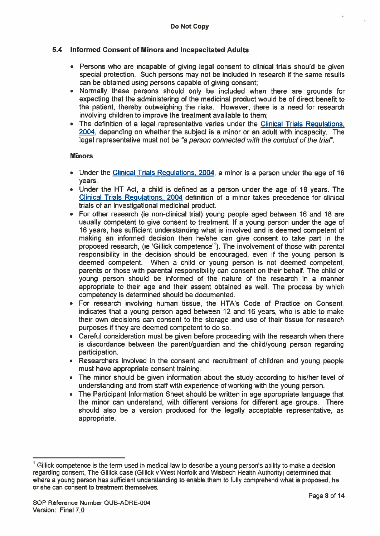#### 5.4 Informed Consent of Minors and Incapacitated Adults

- Persons who are incapable of giving legal consent to clinical trials should be given special protection. Such persons may not be included in research if the same results can be obtained using persons capable of giving consent;
- • Normally these persons should only be included when there are grounds for expecting that the administering of the medicinal product would be of direct benefit to the patient, thereby outweighing the risks. However, there is <sup>a</sup> need for research involving children to improve the treatment available to them;
- The definition of <sup>a</sup> legal representative varies under the Clinical Trials Regulations, 2004, depending on whether the subject is <sup>a</sup> minor or an adult with incapacity. The legal representative must not be "a person connected with the conduct of the trial'.

#### **Minors**

- Under the Clinical Trials Regulations, 2004, <sup>a</sup> minor is <sup>a</sup> person under the age of 16 years.
- Under the HT Act, <sup>a</sup> child is defined as <sup>a</sup> person under the age of 18 years. The Clinical Trials Regulations, 2004 definition of <sup>a</sup> minor takes precedence for clinical trials of an investigational medicinal product.
- For other research (ie non-clinical trial) young people aged between 16 and 18 are usually competent to give consent to treatment. If <sup>a</sup> young person under the age of 16 years, has sufficient understanding what is involved and is deemed competent of making an informed decision then he/she can give consent to take par<sup>t</sup> in the proposed research, (ie 'Gillick competence'1). The involvement of those with parental responsibility in the decision should be encouraged, even if the young person is deemed competent. When <sup>a</sup> child or young person is not deemed competent, parents or those with parental responsibility can consent on their behalf. The child or young person should be informed of the nature of the research in <sup>a</sup> manner appropriate to their age and their assent obtained as well. The process by which competency is determined should be documented.
- For research involving human tissue, the HTA's Code of Practice on Consent, indicates that <sup>a</sup> young person aged between 12 and 16 years, who is able to make their own decisions can consent to the storage and use of their tissue for research purposes if they are deemed competent to do so.
- • Careful consideration must be given before proceeding with the research when there is discordance between the parent/guardian and the child/young person regarding participation.
- Researchers involved in the consent and recruitment of children and young people must have appropriate consent training.
- • The minor should be given information about the study according to his/her level of understanding and from staff with experience of working with the young person.
- • The Participant Information Sheet should be written in age appropriate language that the minor can understand, with different versions for different age groups. There should also be <sup>a</sup> version produced for the legally acceptable representative, as appropriate.

 $<sup>1</sup>$  Gillick competence is the term used in medical law to describe a young person's ability to make a decision</sup> regarding consent, The Gillick case (Gillick <sup>v</sup> West Norfolk and Wisbech Health Authority) determined that where <sup>a</sup> young person has sufficient understanding to enable them to fully comprehend what is proposed, he or she can consent to treatment themselves.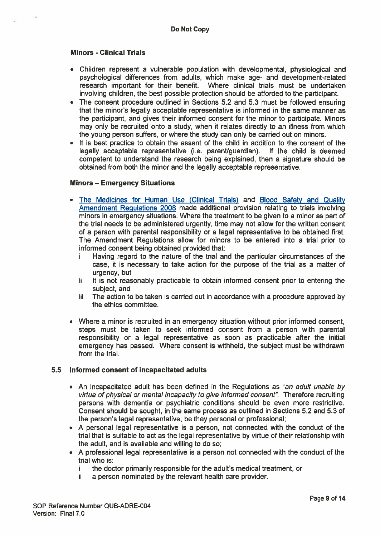#### Minors - Clinical Trials

- • Children represen<sup>t</sup> <sup>a</sup> vulnerable population with developmental, physiological and psychological differences from adults, which make age- and development-related research important for their benefit. Where clinical trials must be undertaken involving children, the best possible protection should be afforded to the participant.
- The consent procedure outlined in Sections 5.2 and 5.3 must be followed ensuring that the minor's legally acceptable representative is informed in the same manner as the participant, and gives their informed consent for the minor to participate. Minors may only be recruited onto <sup>a</sup> study, when it relates directly to an illness from which the young person suffers, or where the study can only be carried out on minors.
- • It is best practice to obtain the assent of the child in addition to the consent of the legally acceptable representative (i.e. parent/guardian). If the child is deemed competent to understand the research being explained, then <sup>a</sup> signature should be obtained from both the minor and the legally acceptable representative.

#### Minors — Emergency Situations

- The Medicines for Human Use (Clinical Trials) and Blood Safety and Quality Amendment Regulations 2008 made additional provision relating to trials involving minors in emergency situations. Where the treatment to be given to <sup>a</sup> minor as par<sup>t</sup> of the trial needs to be administered urgently, time may not allow for the written consent of <sup>a</sup> person with parental responsibility or <sup>a</sup> legal representative to be obtained first. The Amendment Regulations allow for minors to be entered into <sup>a</sup> trial prior to informed consent being obtained provided that:
	- i Having regard to the nature of the trial and the particular circumstances of the case, it is necessary to take action for the purpose of the trial as <sup>a</sup> matter of urgency, but
	- ii It is not reasonably practicable to obtain informed consent prior to entering the subject, and
	- iii The action to be taken is carried out in accordance with <sup>a</sup> procedure approved by the ethics committee.
- Where <sup>a</sup> minor is recruited in an emergency situation without prior informed consent, steps must be taken to seek informed consent from <sup>a</sup> person with parental responsibility or <sup>a</sup> legal representative as soon as practicable after the initial emergency has passed. Where consent is withheld, the subject must be withdrawn from the trial.

#### 5.5 Informed consent of incapacitated adults

- An incapacitated adult has been defined in the Regulations as "an adult unable by virtue of physical or mental incapacity to give informed consent". Therefore recruiting persons with dementia or psychiatric conditions should be even more restrictive. Consent should be sought, in the same process as outlined in Sections 5.2 and 5.3 of the person's legal representative, be they personal or professional;
- A personal legal representative is <sup>a</sup> person, not connected with the conduct of the trial that is suitable to act as the legal representative by virtue of their relationship with the adult, and is available and willing to do so;
- A professional legal representative is <sup>a</sup> person not connected with the conduct of the trial who is:
	- i the doctor primarily responsible for the adult's medical treatment, or
	- $i$  a person nominated by the relevant health care provider.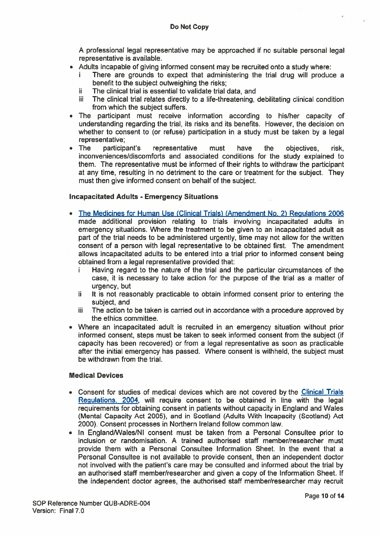A professional legal representative may be approached if no suitable personal legal representative is available.

- Adults incapable of giving informed consent may be recruited onto <sup>a</sup> study where:
	- i There are grounds to expec<sup>t</sup> that administering the trial drug will produce <sup>a</sup> benefit to the subject outweighing the risks;
	- $ii$  The clinical trial is essential to validate trial data, and
	- iii The clinical trial relates directly to a life-threatening, debilitating clinical condition from which the subject suffers.
- • The participant must receive information according to his/her capacity of understanding regarding the trial, its risks and its benefits. However, the decision on whether to consent to (or refuse) participation in <sup>a</sup> study must be taken by <sup>a</sup> legal representative;
- The participant's representative must have the objectives, risk, inconveniences/discomforts and associated conditions for the study explained to them. The representative must be informed of their rights to withdraw the participant at any time, resulting in no detriment to the care or treatment for the subject. They must then give informed consent on behalf of the subject.

#### Incapacitated Adults - Emergency Situations

- • The Medicines for Human Use (Clinical Trials) (Amendment No. 2) Regulations 2006 made additional provision relating to trials involving incapacitated adults in emergency situations. Where the treatment to be given to an incapacitated adult as par<sup>t</sup> of the trial needs to be administered urgently, time may not allow for the written consent of <sup>a</sup> person with legal representative to be obtained first. The amendment allows incapacitated adults to be entered into <sup>a</sup> trial prior to informed consent being obtained from <sup>a</sup> legal representative provided that: Do Not Copy<br>
Do Not Copy<br>
The processional legal representative may be approached if no suitable personal legal<br>
Adults incepable of glving informed consent may be recruited onto a study where:<br>
iThere are grounds to expec
	- i Having regard to the nature of the trial and the particular circumstances of the case, it is necessary to take action for the purpose of the trial as <sup>a</sup> matter of urgency, but
	- ii It is not reasonably practicable to obtain informed consent prior to entering the subject, and
	- $i$  The action to be taken is carried out in accordance with a procedure approved by the ethics committee.
- • Where an incapacitated adult is recruited in an emergency situation without prior informed consent, steps must be taken to seek informed consent from the subject (if capacity has been recovered) or from <sup>a</sup> legal representative as soon as practicable after the initial emergency has passed. Where consent is withheld, the subject must be withdrawn from the trial.

#### Medical Devices

- Consent for studies of medical devices which are not covered by the Clinical Trials Regulations, 2004, will require consent to be obtained in line with the legal requirements for obtaining consent in patients without capacity in England and Wales (Mental Capacity Act 2005), and in Scotland (Adults With Incapacity (Scotland) Act 2000). Consent processes in Northern Ireland follow common law.
- • In England/Wales/NI consent must be taken from <sup>a</sup> Personal Consultee prior to inclusion or randomisation. A trained authorised staff member/researcher must provide them with <sup>a</sup> Personal Consultee Information Sheet. In the event that <sup>a</sup> Personal Consultee is not available to provide consent, then an independent doctor not involved with the patient's care may be consulted and informed about the trial by an authorised staff member/researcher and given <sup>a</sup> copy of the Information Sheet. If the independent doctor agrees, the authorised staff member/researcher may recruit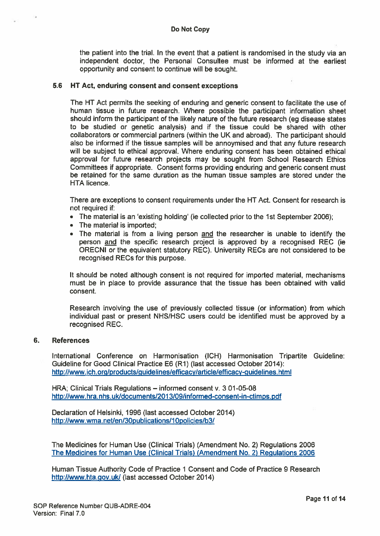the patient into the trial. In the event that <sup>a</sup> patient is randomised in the study via an independent doctor, the Personal Consultee must be informed at the earliest opportunity and consent to continue will be sought.

#### 5.6 HT Act, enduring consent and consent exceptions

The HT Act permits the seeking of enduring and generic consent to facilitate the use of human tissue in future research. Where possible the participant information sheet should inform the participant of the likely nature of the future research (eg disease states to be studied or genetic analysis) and if the tissue could be shared with other collaborators or commercial partners (within the UK and abroad). The participant should also be informed if the tissue samples will be annoymised and that any future research will be subject to ethical approval. Where enduring consent has been obtained ethical approval for future research projects may be sought from School Research Ethics Committees if appropriate. Consent forms providing enduring and generic consent must be retained for the same duration as the human tissue samples are stored under the HTA licence.

There are exceptions to consent requirements under the HT Act. Consent for research is not required if:

- $\bullet~$  The material is an 'existing holding' (ie collected prior to the 1st September 2006):
- The material is imported;
- The material is from <sup>a</sup> living person and the researcher is unable to identify the person and the specific research project is approved by <sup>a</sup> recognised REC (ie ORECNI or the equivalent statutory REC). University RECs are not considered to be recognised RECs for this purpose.

It should be noted although consent is not required for imported material, mechanisms must be in place to provide assurance that the tissue has been obtained with valid consent.

Research involving the use of previously collected tissue (or information) from which individual pas<sup>t</sup> or presen<sup>t</sup> NHS/HSC users could be identified must be approved by <sup>a</sup> recognised REC.

#### 6. References

International Conference on Harmonisation (ICH) Harmonisation Tripartite Guideline: Guideline for Good Clinical Practice E6 (Ri) (last accessed October 2014): http://www.ich.org/products/guidelines/efflcacy/article/efficacy-guidelines.html

HRA; Clinical Trials Regulations — informed consent v, 301-05-08 hftp://www.hra.nhs.uk/documents/201 3/09/informed-consent-in-ctimps.pdf

Declaration of Helsinki, 1996 (last accessed October 2014) http://www.wma.net/en/30publications/10policies/b3/

The Medicines for Human Use (Clinical Trials) (Amendment No. 2) Regulations 2006 The Medicines for Human Use (Clinical Trials) (Amendment No. 2) Regulations 2006

Human Tissue Authority Code of Practice 1 Consent and Code of Practice 9 Research http://www.hta.gov.ukl (last accessed October 2014)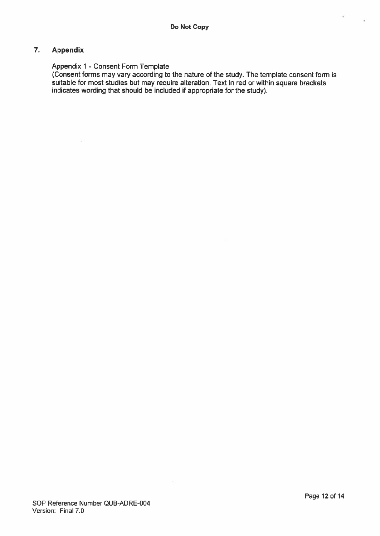## 7. Appendix

#### Appendix 1 - Consent Form Template

(Consent forms may vary according to the nature of the study. The template consent form is suitable for most studies but may require alteration. Text in red or within square brackets indicates wording that should be included if appropriate for the study).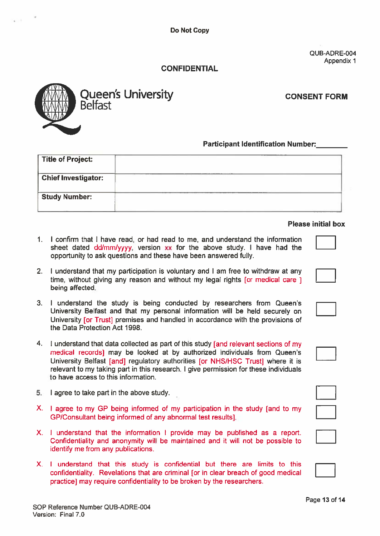Do Not Copy

QUB-ADRE-004 Appendix I

# CONFIDENTIAL



Queen's University<br>Belfast<br>Belfast

# Participant Identification Number:

| Title of Project:          |  |
|----------------------------|--|
| <b>Chief Investigator:</b> |  |
| <b>Study Number:</b>       |  |
|                            |  |

#### Please initial box

- I confirm that I have read, or had read to me, and understand the information sheet dated dd/mm/yyyy, version xx for the above study. I have had the opportunity to ask questions and these have been answered fully.
- 2. I understand that my participation is voluntary and I am free to withdraw at any time, without giving any reason and without my legal rights [or medical care ] being affected.
- 3. I understand the study is being conducted by researchers from Queen's University Belfast and that my personal information will be held securely on University [or Trust] premises and handled in accordance with the provisions of the Data Protection Act 1998.
- 4. <sup>I</sup> understand that data collected as par<sup>t</sup> of this study [and relevant sections of my medical records] may be looked at by authorized individuals from Queen's University Belfast [and] regulatory authorities [or NHS/HSC Trust] where it is relevant to my taking par<sup>t</sup> in this research. I give permission for these individuals to have access to this information.
- 5. I agree to take par<sup>t</sup> in the above study.
- X. I agree to my GP being informed of my participation in the study [and to my GP/Consultant being informed of any abnormal test results].
- X. I understand that the information I provide may be published as <sup>a</sup> report. Confidentiality and anonymity will be maintained and it will not be possible to identify me from any publications.
- X. I understand that this study is confidential but there are limits to this confidentiality. Revelations that are criminal [or in clear breach of good medical practice] may require confidentiality to be broken by the researchers.



| $\mathcal{L}^{\text{max}}_{\text{max}}$ and $\mathcal{L}^{\text{max}}_{\text{max}}$ and $\mathcal{L}^{\text{max}}_{\text{max}}$ and $\mathcal{L}^{\text{max}}_{\text{max}}$ |  |  |
|-----------------------------------------------------------------------------------------------------------------------------------------------------------------------------|--|--|
|                                                                                                                                                                             |  |  |
|                                                                                                                                                                             |  |  |
|                                                                                                                                                                             |  |  |



| ٠                      | $\ddot{\phantom{0}}$ |  |
|------------------------|----------------------|--|
|                        |                      |  |
|                        |                      |  |
|                        |                      |  |
|                        |                      |  |
| <b>Service Service</b> |                      |  |